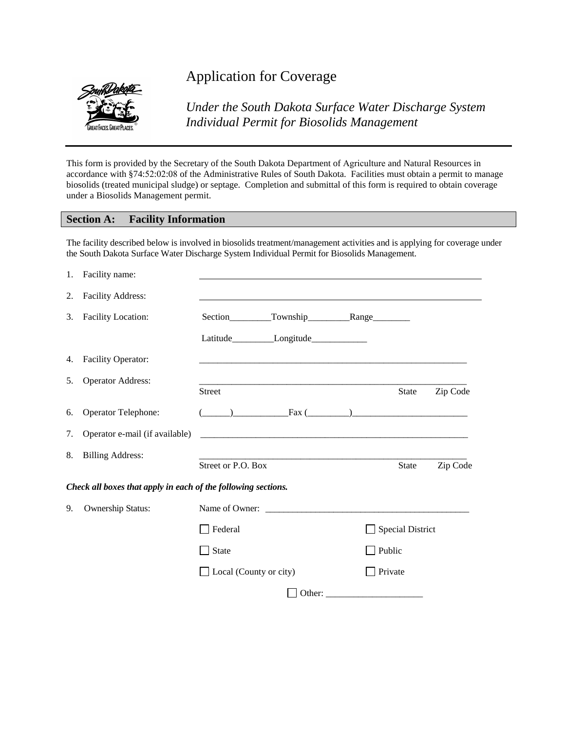

# Application for Coverage

*Under the South Dakota Surface Water Discharge System Individual Permit for Biosolids Management*

This form is provided by the Secretary of the South Dakota Department of Agriculture and Natural Resources in accordance with §74:52:02:08 of the Administrative Rules of South Dakota. Facilities must obtain a permit to manage biosolids (treated municipal sludge) or septage. Completion and submittal of this form is required to obtain coverage under a Biosolids Management permit.

#### **Section A: Facility Information**

The facility described below is involved in biosolids treatment/management activities and is applying for coverage under the South Dakota Surface Water Discharge System Individual Permit for Biosolids Management.

|    | 1. Facility name:                                             |                               |                                                                                                                                                                                                                                                                                               |                         |          |
|----|---------------------------------------------------------------|-------------------------------|-----------------------------------------------------------------------------------------------------------------------------------------------------------------------------------------------------------------------------------------------------------------------------------------------|-------------------------|----------|
| 2. | <b>Facility Address:</b>                                      |                               |                                                                                                                                                                                                                                                                                               |                         |          |
| 3. | <b>Facility Location:</b>                                     |                               |                                                                                                                                                                                                                                                                                               |                         |          |
|    |                                                               |                               | Latitude_____________Longitude________________                                                                                                                                                                                                                                                |                         |          |
| 4. | Facility Operator:                                            |                               | the control of the control of the control of the control of the control of the control of the control of the control of the control of the control of the control of the control of the control of the control of the control                                                                 |                         |          |
| 5. | <b>Operator Address:</b>                                      | Street                        |                                                                                                                                                                                                                                                                                               | State                   | Zip Code |
| 6. | Operator Telephone:                                           |                               | $\frac{1}{2}$ Fax $\frac{1}{2}$ Fax $\frac{1}{2}$ Fax $\frac{1}{2}$ Fax $\frac{1}{2}$ Fax $\frac{1}{2}$ Fax $\frac{1}{2}$ Fax $\frac{1}{2}$ Fax $\frac{1}{2}$ Fax $\frac{1}{2}$ Fax $\frac{1}{2}$ Fax $\frac{1}{2}$ Fax $\frac{1}{2}$ Fax $\frac{1}{2}$ Fax $\frac{1}{2}$ Fax $\frac{1}{2}$ F |                         |          |
| 7. | Operator e-mail (if available)                                |                               |                                                                                                                                                                                                                                                                                               |                         |          |
| 8. | <b>Billing Address:</b>                                       | Street or P.O. Box            |                                                                                                                                                                                                                                                                                               | <b>State</b>            | Zip Code |
|    | Check all boxes that apply in each of the following sections. |                               |                                                                                                                                                                                                                                                                                               |                         |          |
| 9. | Ownership Status:                                             |                               | Name of Owner:                                                                                                                                                                                                                                                                                |                         |          |
|    |                                                               | Federal                       |                                                                                                                                                                                                                                                                                               | <b>Special District</b> |          |
|    |                                                               | State                         |                                                                                                                                                                                                                                                                                               | Public                  |          |
|    |                                                               | $\Box$ Local (County or city) |                                                                                                                                                                                                                                                                                               | Private                 |          |
|    |                                                               |                               |                                                                                                                                                                                                                                                                                               |                         |          |
|    |                                                               |                               |                                                                                                                                                                                                                                                                                               |                         |          |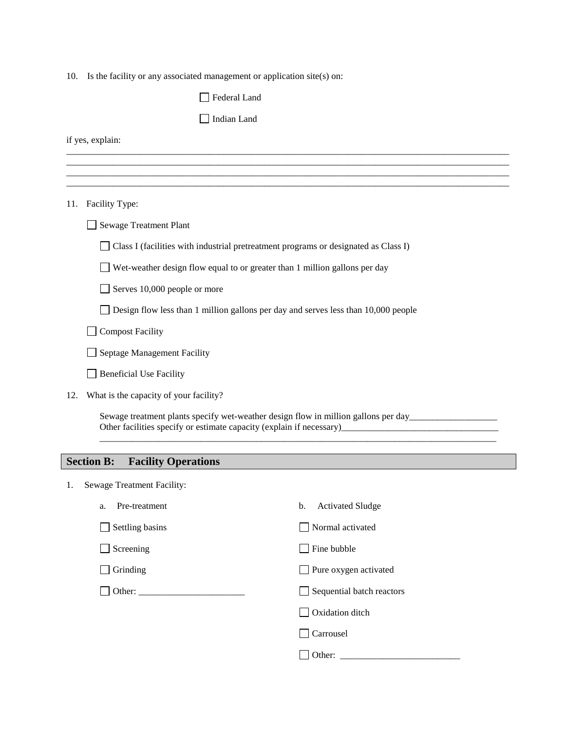10. Is the facility or any associated management or application site(s) on:

|     | Federal Land                                                                        |  |  |
|-----|-------------------------------------------------------------------------------------|--|--|
|     | Indian Land                                                                         |  |  |
|     | if yes, explain:                                                                    |  |  |
|     |                                                                                     |  |  |
|     |                                                                                     |  |  |
|     | 11. Facility Type:                                                                  |  |  |
|     | Sewage Treatment Plant                                                              |  |  |
|     | Class I (facilities with industrial pretreatment programs or designated as Class I) |  |  |
|     | Wet-weather design flow equal to or greater than 1 million gallons per day          |  |  |
|     | Serves 10,000 people or more                                                        |  |  |
|     | Design flow less than 1 million gallons per day and serves less than 10,000 people  |  |  |
|     | <b>Compost Facility</b>                                                             |  |  |
|     | Septage Management Facility                                                         |  |  |
|     | <b>Beneficial Use Facility</b>                                                      |  |  |
| 12. | What is the capacity of your facility?                                              |  |  |
|     | Sewage treatment plants specify wet-weather design flow in million gallons per day  |  |  |
|     | <b>Section B:</b><br><b>Facility Operations</b>                                     |  |  |
|     |                                                                                     |  |  |
| 1.  | Sewage Treatment Facility:                                                          |  |  |
|     | Pre-treatment<br><b>Activated Sludge</b><br>b.<br>a.                                |  |  |
|     | Settling basins<br>Normal activated                                                 |  |  |

| $\Box$ betting easing | $\blacksquare$                   |
|-----------------------|----------------------------------|
| $\Box$ Screening      | $\Box$ Fine bubble               |
| $\Box$ Grinding       | $\Box$ Pure oxygen activated     |
|                       | $\Box$ Sequential batch reactors |
|                       | $\Box$ Oxidation ditch           |
|                       | Carrousel                        |
|                       | Other:                           |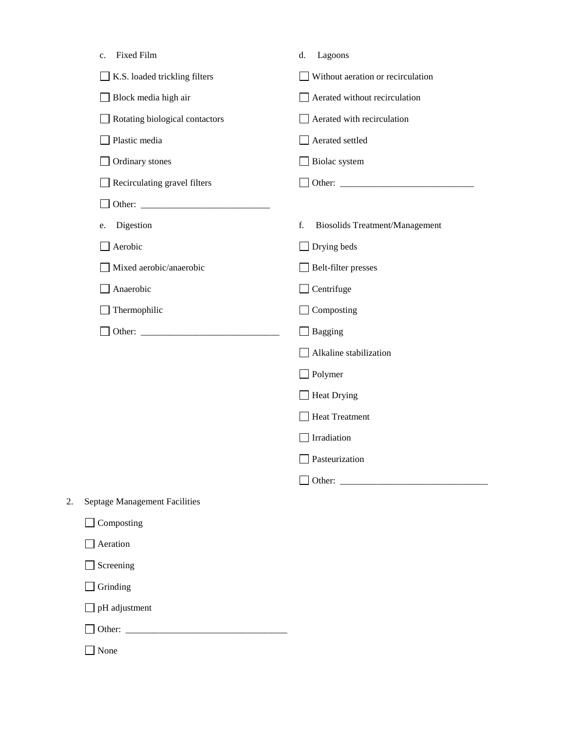|    | <b>Fixed Film</b><br>c.              | d.<br>Lagoons                               |
|----|--------------------------------------|---------------------------------------------|
|    | K.S. loaded trickling filters        | Without aeration or recirculation           |
|    | Block media high air                 | Aerated without recirculation               |
|    | Rotating biological contactors       | Aerated with recirculation                  |
|    | Plastic media                        | Aerated settled                             |
|    | Ordinary stones                      | Biolac system                               |
|    | Recirculating gravel filters         |                                             |
|    |                                      |                                             |
|    | Digestion<br>e.                      | <b>Biosolids Treatment/Management</b><br>f. |
|    | Aerobic                              | Drying beds                                 |
|    | Mixed aerobic/anaerobic              | Belt-filter presses                         |
|    | Anaerobic                            | Centrifuge                                  |
|    | Thermophilic                         | Composting                                  |
|    |                                      | <b>Bagging</b>                              |
|    |                                      | Alkaline stabilization                      |
|    |                                      | Polymer                                     |
|    |                                      | <b>Heat Drying</b>                          |
|    |                                      | <b>Heat Treatment</b>                       |
|    |                                      | Irradiation                                 |
|    |                                      | Pasteurization                              |
|    |                                      |                                             |
| 2. | <b>Septage Management Facilities</b> |                                             |
|    | Composting                           |                                             |
|    | Aeration                             |                                             |
|    | Screening                            |                                             |
|    | Grinding                             |                                             |
|    | pH adjustment                        |                                             |

| $\overline{\phantom{a}}$ Other |  |  |
|--------------------------------|--|--|
|                                |  |  |

None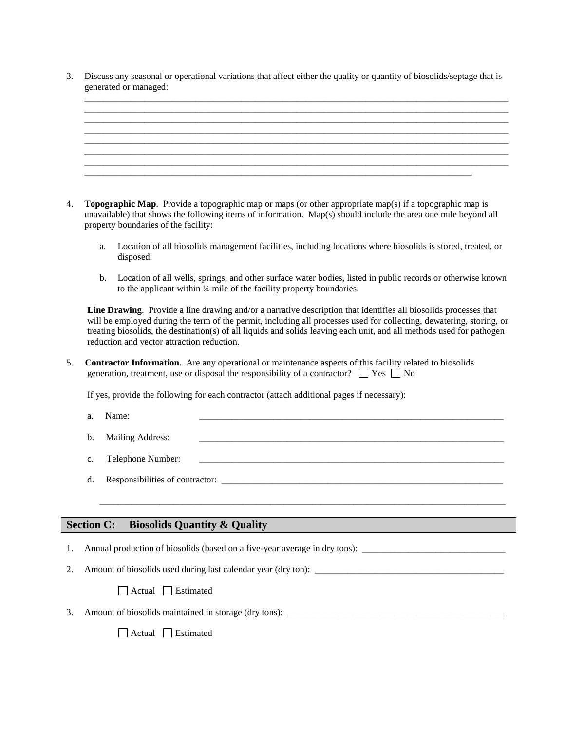3. Discuss any seasonal or operational variations that affect either the quality or quantity of biosolids/septage that is generated or managed:



- 4. **Topographic Map**. Provide a topographic map or maps (or other appropriate map(s) if a topographic map is unavailable) that shows the following items of information. Map(s) should include the area one mile beyond all property boundaries of the facility:
	- a. Location of all biosolids management facilities, including locations where biosolids is stored, treated, or disposed.
	- b. Location of all wells, springs, and other surface water bodies, listed in public records or otherwise known to the applicant within ¼ mile of the facility property boundaries.

**Line Drawing**. Provide a line drawing and/or a narrative description that identifies all biosolids processes that will be employed during the term of the permit, including all processes used for collecting, dewatering, storing, or treating biosolids, the destination(s) of all liquids and solids leaving each unit, and all methods used for pathogen reduction and vector attraction reduction.

5. **Contractor Information.** Are any operational or maintenance aspects of this facility related to biosolids generation, treatment, use or disposal the responsibility of a contractor?  $\Box$  Yes  $\Box$  No

If yes, provide the following for each contractor (attach additional pages if necessary):

- a. Name: \_\_\_\_\_\_\_\_\_\_\_\_\_\_\_\_\_\_\_\_\_\_\_\_\_\_\_\_\_\_\_\_\_\_\_\_\_\_\_\_\_\_\_\_\_\_\_\_\_\_\_\_\_\_\_\_\_\_\_\_\_\_\_\_\_\_
- b. Mailing Address:
- c. Telephone Number:

\_\_\_\_\_\_\_\_\_\_\_\_\_\_\_\_\_\_\_\_\_\_\_\_\_\_\_\_\_\_\_\_\_\_\_\_\_\_\_\_\_\_\_\_\_\_\_\_\_\_\_\_\_\_\_\_\_\_\_\_\_\_\_\_\_\_\_\_\_\_\_\_\_\_\_\_\_\_\_\_\_\_\_\_\_\_\_\_

d. Responsibilities of contractor:

#### **Section C: Biosolids Quantity & Quality**

- 1. Annual production of biosolids (based on a five-year average in dry tons):
- 2. Amount of biosolids used during last calendar year (dry ton):

Actual Estimated

3. Amount of biosolids maintained in storage (dry tons):

 $\Box$  Actual  $\Box$  Estimated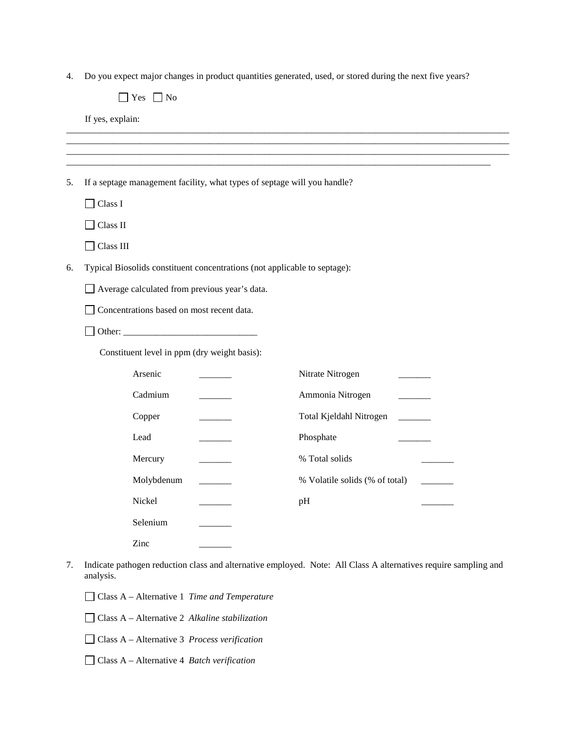4. Do you expect major changes in product quantities generated, used, or stored during the next five years?

|    | Yes $\Box$ No                                                             |                                                                                                                 |
|----|---------------------------------------------------------------------------|-----------------------------------------------------------------------------------------------------------------|
|    | If yes, explain:                                                          |                                                                                                                 |
|    |                                                                           |                                                                                                                 |
|    |                                                                           |                                                                                                                 |
| 5. | If a septage management facility, what types of septage will you handle?  |                                                                                                                 |
|    | $\Box$ Class I                                                            |                                                                                                                 |
|    | Class II                                                                  |                                                                                                                 |
|    | Class III                                                                 |                                                                                                                 |
| 6. | Typical Biosolids constituent concentrations (not applicable to septage): |                                                                                                                 |
|    | Average calculated from previous year's data.                             |                                                                                                                 |
|    | Concentrations based on most recent data.                                 |                                                                                                                 |
|    |                                                                           |                                                                                                                 |
|    | Constituent level in ppm (dry weight basis):                              |                                                                                                                 |
|    | Arsenic                                                                   | Nitrate Nitrogen                                                                                                |
|    | Cadmium                                                                   | Ammonia Nitrogen                                                                                                |
|    | Copper                                                                    | Total Kjeldahl Nitrogen                                                                                         |
|    | Lead                                                                      | Phosphate                                                                                                       |
|    | Mercury                                                                   | % Total solids                                                                                                  |
|    | Molybdenum                                                                | % Volatile solids (% of total)                                                                                  |
|    | Nickel                                                                    | pH                                                                                                              |
|    | Selenium                                                                  |                                                                                                                 |
|    | Zinc                                                                      |                                                                                                                 |
| 7. |                                                                           | Indicate pathogen reduction class and alternative employed. Note: All Class A alternatives require sampling and |

- analysis.
	- Class A Alternative 1 *Time and Temperature*
	- Class A Alternative 2 *Alkaline stabilization*
	- Class A Alternative 3 *Process verification*
	- Class A Alternative 4 *Batch verification*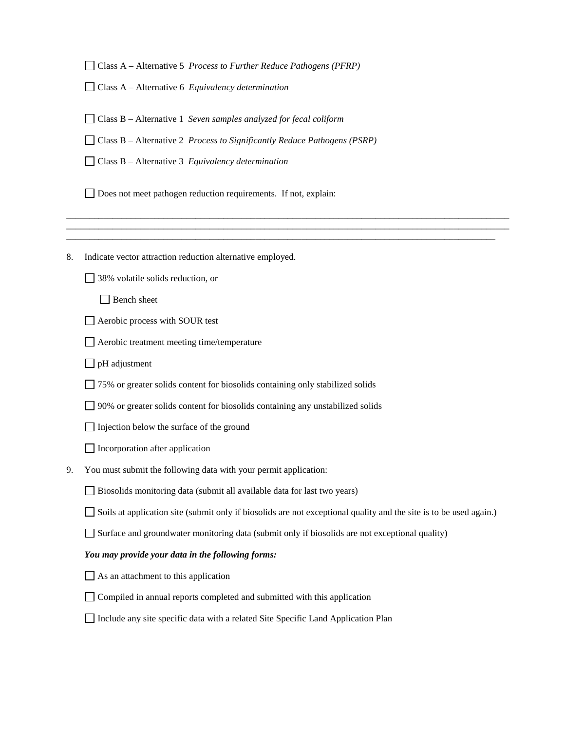Class A – Alternative 5 *Process to Further Reduce Pathogens (PFRP)*

Class A – Alternative 6 *Equivalency determination*

Class B – Alternative 1 *Seven samples analyzed for fecal coliform*

Class B – Alternative 2 *Process to Significantly Reduce Pathogens (PSRP)*

Class B – Alternative 3 *Equivalency determination*

Does not meet pathogen reduction requirements. If not, explain:

8. Indicate vector attraction reduction alternative employed.

38% volatile solids reduction, or

□ Bench sheet

Aerobic process with SOUR test

Aerobic treatment meeting time/temperature

 $\Box$  pH adjustment

75% or greater solids content for biosolids containing only stabilized solids

90% or greater solids content for biosolids containing any unstabilized solids

 $\Box$  Injection below the surface of the ground

 $\Box$  Incorporation after application

9. You must submit the following data with your permit application:

Biosolids monitoring data (submit all available data for last two years)

Soils at application site (submit only if biosolids are not exceptional quality and the site is to be used again.)

\_\_\_\_\_\_\_\_\_\_\_\_\_\_\_\_\_\_\_\_\_\_\_\_\_\_\_\_\_\_\_\_\_\_\_\_\_\_\_\_\_\_\_\_\_\_\_\_\_\_\_\_\_\_\_\_\_\_\_\_\_\_\_\_\_\_\_\_\_\_\_\_\_\_\_\_\_\_\_\_\_\_\_\_\_\_\_\_\_\_\_\_\_\_\_\_ \_\_\_\_\_\_\_\_\_\_\_\_\_\_\_\_\_\_\_\_\_\_\_\_\_\_\_\_\_\_\_\_\_\_\_\_\_\_\_\_\_\_\_\_\_\_\_\_\_\_\_\_\_\_\_\_\_\_\_\_\_\_\_\_\_\_\_\_\_\_\_\_\_\_\_\_\_\_\_\_\_\_\_\_\_\_\_\_\_\_\_\_\_\_\_\_ \_\_\_\_\_\_\_\_\_\_\_\_\_\_\_\_\_\_\_\_\_\_\_\_\_\_\_\_\_\_\_\_\_\_\_\_\_\_\_\_\_\_\_\_\_\_\_\_\_\_\_\_\_\_\_\_\_\_\_\_\_\_\_\_\_\_\_\_\_\_\_\_\_\_\_\_\_\_\_\_\_\_\_\_\_\_\_\_\_\_\_\_\_

Surface and groundwater monitoring data (submit only if biosolids are not exceptional quality)

#### *You may provide your data in the following forms:*

 $\Box$  As an attachment to this application

Compiled in annual reports completed and submitted with this application

Include any site specific data with a related Site Specific Land Application Plan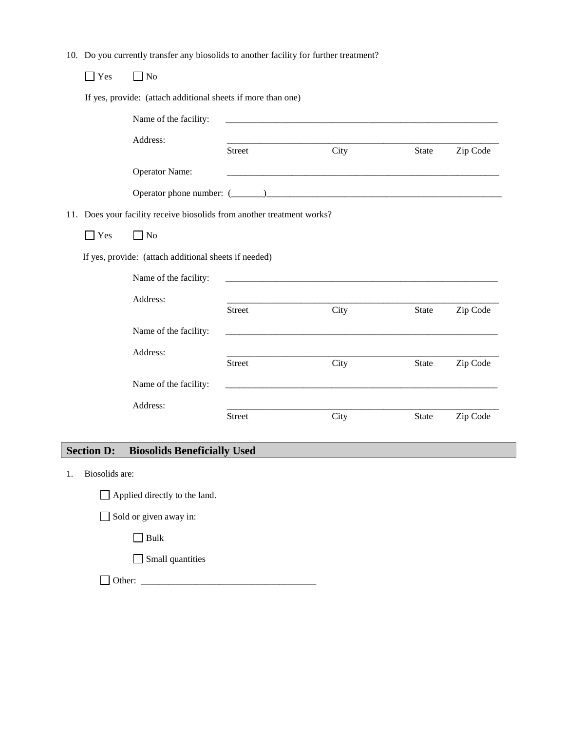10. Do you currently transfer any biosolids to another facility for further treatment?

| Yes | N <sub>o</sub>                                                         |               |      |              |          |
|-----|------------------------------------------------------------------------|---------------|------|--------------|----------|
|     | If yes, provide: (attach additional sheets if more than one)           |               |      |              |          |
|     | Name of the facility:                                                  |               |      |              |          |
|     | Address:                                                               | <b>Street</b> | City | <b>State</b> | Zip Code |
|     | <b>Operator Name:</b>                                                  |               |      |              |          |
|     |                                                                        |               |      |              |          |
|     | 11. Does your facility receive biosolids from another treatment works? |               |      |              |          |
| Yes | $\Box$ No                                                              |               |      |              |          |
|     | If yes, provide: (attach additional sheets if needed)                  |               |      |              |          |
|     | Name of the facility:                                                  |               |      |              |          |
|     | Address:                                                               | <b>Street</b> | City | State        | Zip Code |
|     | Name of the facility:                                                  |               |      |              |          |
|     | Address:                                                               | <b>Street</b> | City | <b>State</b> | Zip Code |
|     | Name of the facility:                                                  |               |      |              |          |
|     | Address:                                                               | <b>Street</b> | City | <b>State</b> | Zip Code |

### **Section D: Biosolids Beneficially Used**

1. Biosolids are:

Sold or given away in:

 $\Box$  Bulk

Small quantities

Other: \_\_\_\_\_\_\_\_\_\_\_\_\_\_\_\_\_\_\_\_\_\_\_\_\_\_\_\_\_\_\_\_\_\_\_\_\_\_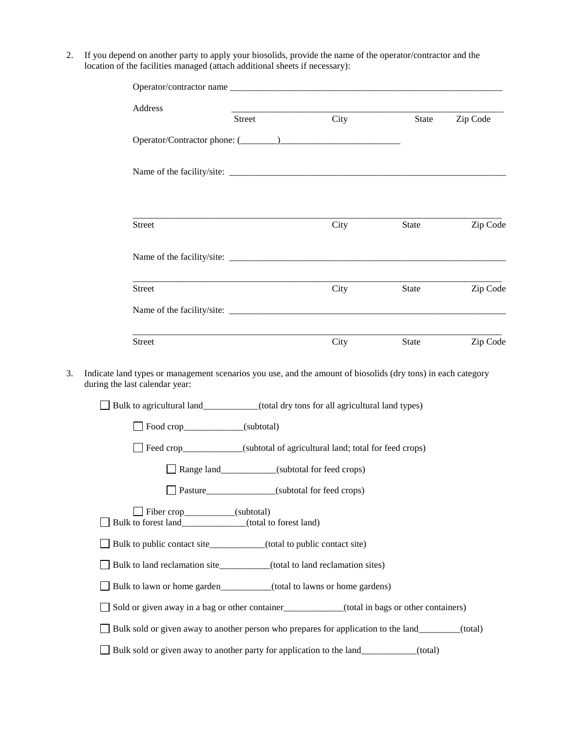2. If you depend on another party to apply your biosolids, provide the name of the operator/contractor and the location of the facilities managed (attach additional sheets if necessary):

| Address                                                                                                                                                                                                                                 | Street                                            | City                                                                       | State | Zip Code |
|-----------------------------------------------------------------------------------------------------------------------------------------------------------------------------------------------------------------------------------------|---------------------------------------------------|----------------------------------------------------------------------------|-------|----------|
|                                                                                                                                                                                                                                         |                                                   |                                                                            |       |          |
|                                                                                                                                                                                                                                         |                                                   |                                                                            |       |          |
| <b>Street</b>                                                                                                                                                                                                                           |                                                   | City                                                                       | State | Zip Code |
|                                                                                                                                                                                                                                         |                                                   |                                                                            |       |          |
| Street                                                                                                                                                                                                                                  |                                                   | City                                                                       | State | Zip Code |
|                                                                                                                                                                                                                                         |                                                   |                                                                            |       |          |
| Street                                                                                                                                                                                                                                  |                                                   | City                                                                       | State | Zip Code |
|                                                                                                                                                                                                                                         |                                                   |                                                                            |       |          |
| Indicate land types or management scenarios you use, and the amount of biosolids (dry tons) in each category<br>during the last calendar year:<br>□ Bulk to agricultural land__________(total dry tons for all agricultural land types) |                                                   |                                                                            |       |          |
| $\Box$ Food crop $\Box$ (subtotal)                                                                                                                                                                                                      |                                                   |                                                                            |       |          |
|                                                                                                                                                                                                                                         |                                                   | Feed crop____________(subtotal of agricultural land; total for feed crops) |       |          |
|                                                                                                                                                                                                                                         |                                                   | Range land___________(subtotal for feed crops)                             |       |          |
|                                                                                                                                                                                                                                         | Pasture_________________(subtotal for feed crops) |                                                                            |       |          |
| Fiber crop_________(subtotal)<br>Bulk to forest land_____________(total to forest land)                                                                                                                                                 |                                                   |                                                                            |       |          |
| Bulk to public contact site_________(total to public contact site)                                                                                                                                                                      |                                                   |                                                                            |       |          |
| Bulk to land reclamation site________(total to land reclamation sites)                                                                                                                                                                  |                                                   |                                                                            |       |          |
| Bulk to lawn or home garden_________(total to lawns or home gardens)                                                                                                                                                                    |                                                   |                                                                            |       |          |
| Sold or given away in a bag or other container<br>(total in bags or other containers)                                                                                                                                                   |                                                   |                                                                            |       |          |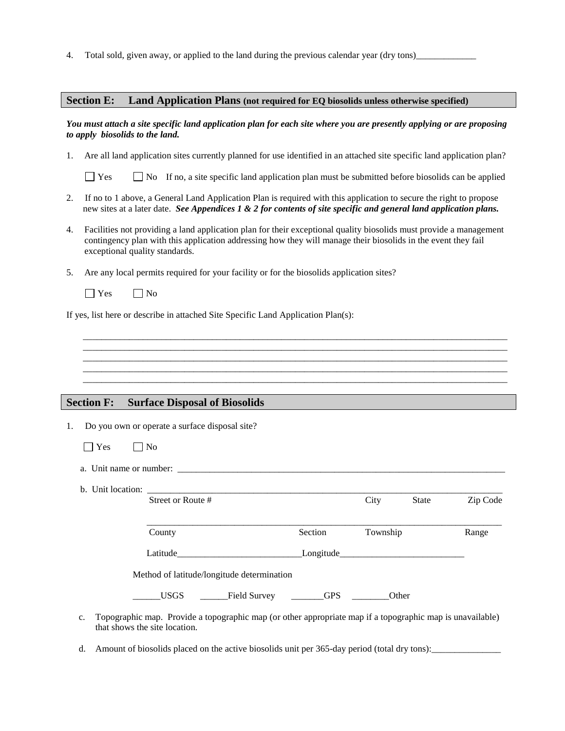4. Total sold, given away, or applied to the land during the previous calendar year (dry tons)\_\_\_\_\_\_\_\_\_\_\_\_\_

#### **Section E: Land Application Plans (not required for EQ biosolids unless otherwise specified)**

#### *You must attach a site specific land application plan for each site where you are presently applying or are proposing to apply biosolids to the land.*

1. Are all land application sites currently planned for use identified in an attached site specific land application plan?

 $\Box$  Yes  $\Box$  No If no, a site specific land application plan must be submitted before biosolids can be applied

- 2. If no to 1 above, a General Land Application Plan is required with this application to secure the right to propose new sites at a later date. *See Appendices 1 & 2 for contents of site specific and general land application plans.*
- 4. Facilities not providing a land application plan for their exceptional quality biosolids must provide a management contingency plan with this application addressing how they will manage their biosolids in the event they fail exceptional quality standards.

\_\_\_\_\_\_\_\_\_\_\_\_\_\_\_\_\_\_\_\_\_\_\_\_\_\_\_\_\_\_\_\_\_\_\_\_\_\_\_\_\_\_\_\_\_\_\_\_\_\_\_\_\_\_\_\_\_\_\_\_\_\_\_\_\_\_\_\_\_\_\_\_\_\_\_\_\_\_\_\_\_\_\_\_\_\_\_\_\_\_\_\_ \_\_\_\_\_\_\_\_\_\_\_\_\_\_\_\_\_\_\_\_\_\_\_\_\_\_\_\_\_\_\_\_\_\_\_\_\_\_\_\_\_\_\_\_\_\_\_\_\_\_\_\_\_\_\_\_\_\_\_\_\_\_\_\_\_\_\_\_\_\_\_\_\_\_\_\_\_\_\_\_\_\_\_\_\_\_\_\_\_\_\_\_ \_\_\_\_\_\_\_\_\_\_\_\_\_\_\_\_\_\_\_\_\_\_\_\_\_\_\_\_\_\_\_\_\_\_\_\_\_\_\_\_\_\_\_\_\_\_\_\_\_\_\_\_\_\_\_\_\_\_\_\_\_\_\_\_\_\_\_\_\_\_\_\_\_\_\_\_\_\_\_\_\_\_\_\_\_\_\_\_\_\_\_\_ \_\_\_\_\_\_\_\_\_\_\_\_\_\_\_\_\_\_\_\_\_\_\_\_\_\_\_\_\_\_\_\_\_\_\_\_\_\_\_\_\_\_\_\_\_\_\_\_\_\_\_\_\_\_\_\_\_\_\_\_\_\_\_\_\_\_\_\_\_\_\_\_\_\_\_\_\_\_\_\_\_\_\_\_\_\_\_\_\_\_\_\_ \_\_\_\_\_\_\_\_\_\_\_\_\_\_\_\_\_\_\_\_\_\_\_\_\_\_\_\_\_\_\_\_\_\_\_\_\_\_\_\_\_\_\_\_\_\_\_\_\_\_\_\_\_\_\_\_\_\_\_\_\_\_\_\_\_\_\_\_\_\_\_\_\_\_\_\_\_\_\_\_\_\_\_\_\_\_\_\_\_\_\_\_

- 5. Are any local permits required for your facility or for the biosolids application sites?
	- $\Box$  Yes  $\Box$  No

If yes, list here or describe in attached Site Specific Land Application Plan(s):

#### **Section F: Surface Disposal of Biosolids**

1. Do you own or operate a surface disposal site?

| PS<br>$\sim$<br>$\sim$ | Nο<br>ı |
|------------------------|---------|
|------------------------|---------|

a. Unit name or number:

b. Unit location:

|    | Street or Route #                                                                                                                          |            | City<br><b>State</b> | Zip Code |
|----|--------------------------------------------------------------------------------------------------------------------------------------------|------------|----------------------|----------|
|    | County                                                                                                                                     | Section    | Township             | Range    |
|    | Latitude                                                                                                                                   | Longitude  |                      |          |
|    | Method of latitude/longitude determination                                                                                                 |            |                      |          |
|    | <b>USGS</b><br>Field Survey                                                                                                                | <b>GPS</b> | Other                |          |
| c. | Topographic map. Provide a topographic map (or other appropriate map if a topographic map is unavailable)<br>that shows the site location. |            |                      |          |

d. Amount of biosolids placed on the active biosolids unit per 365-day period (total dry tons):\_\_\_\_\_\_\_\_\_\_\_\_\_\_\_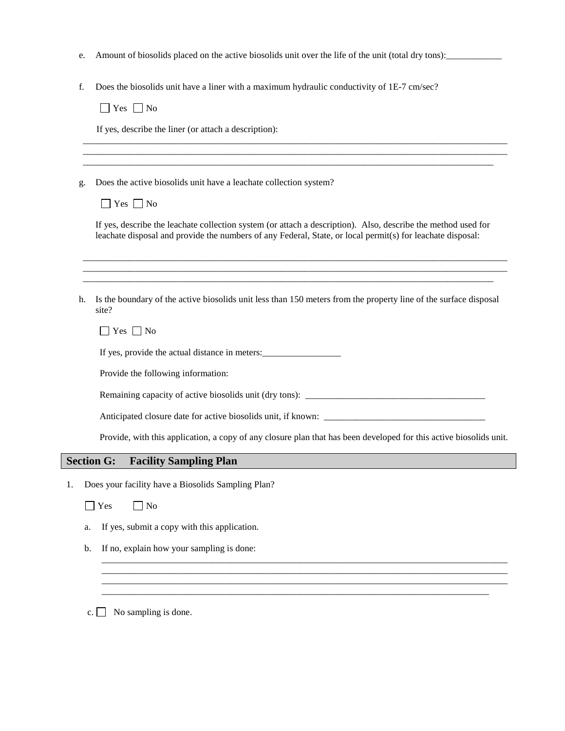- e. Amount of biosolids placed on the active biosolids unit over the life of the unit (total dry tons):\_\_\_\_\_\_\_\_\_\_\_\_
- f. Does the biosolids unit have a liner with a maximum hydraulic conductivity of 1E-7 cm/sec?

 $\Box$  Yes  $\Box$  No

If yes, describe the liner (or attach a description):

g. Does the active biosolids unit have a leachate collection system?

| v |  |
|---|--|

If yes, describe the leachate collection system (or attach a description). Also, describe the method used for leachate disposal and provide the numbers of any Federal, State, or local permit(s) for leachate disposal:

\_\_\_\_\_\_\_\_\_\_\_\_\_\_\_\_\_\_\_\_\_\_\_\_\_\_\_\_\_\_\_\_\_\_\_\_\_\_\_\_\_\_\_\_\_\_\_\_\_\_\_\_\_\_\_\_\_\_\_\_\_\_\_\_\_\_\_\_\_\_\_\_\_\_\_\_\_\_\_\_\_\_\_\_\_\_\_\_\_\_\_\_ \_\_\_\_\_\_\_\_\_\_\_\_\_\_\_\_\_\_\_\_\_\_\_\_\_\_\_\_\_\_\_\_\_\_\_\_\_\_\_\_\_\_\_\_\_\_\_\_\_\_\_\_\_\_\_\_\_\_\_\_\_\_\_\_\_\_\_\_\_\_\_\_\_\_\_\_\_\_\_\_\_\_\_\_\_\_\_\_\_\_\_\_ \_\_\_\_\_\_\_\_\_\_\_\_\_\_\_\_\_\_\_\_\_\_\_\_\_\_\_\_\_\_\_\_\_\_\_\_\_\_\_\_\_\_\_\_\_\_\_\_\_\_\_\_\_\_\_\_\_\_\_\_\_\_\_\_\_\_\_\_\_\_\_\_\_\_\_\_\_\_\_\_\_\_\_\_\_\_\_\_\_

\_\_\_\_\_\_\_\_\_\_\_\_\_\_\_\_\_\_\_\_\_\_\_\_\_\_\_\_\_\_\_\_\_\_\_\_\_\_\_\_\_\_\_\_\_\_\_\_\_\_\_\_\_\_\_\_\_\_\_\_\_\_\_\_\_\_\_\_\_\_\_\_\_\_\_\_\_\_\_\_\_\_\_\_\_\_\_\_\_\_\_\_ \_\_\_\_\_\_\_\_\_\_\_\_\_\_\_\_\_\_\_\_\_\_\_\_\_\_\_\_\_\_\_\_\_\_\_\_\_\_\_\_\_\_\_\_\_\_\_\_\_\_\_\_\_\_\_\_\_\_\_\_\_\_\_\_\_\_\_\_\_\_\_\_\_\_\_\_\_\_\_\_\_\_\_\_\_\_\_\_\_\_\_\_ \_\_\_\_\_\_\_\_\_\_\_\_\_\_\_\_\_\_\_\_\_\_\_\_\_\_\_\_\_\_\_\_\_\_\_\_\_\_\_\_\_\_\_\_\_\_\_\_\_\_\_\_\_\_\_\_\_\_\_\_\_\_\_\_\_\_\_\_\_\_\_\_\_\_\_\_\_\_\_\_\_\_\_\_\_\_\_\_\_

h. Is the boundary of the active biosolids unit less than 150 meters from the property line of the surface disposal site?

 $\Box$  Yes  $\Box$  No

If yes, provide the actual distance in meters:

Provide the following information:

Remaining capacity of active biosolids unit (dry tons): \_\_\_\_\_\_\_\_\_\_\_\_\_\_\_\_\_\_\_\_\_\_\_\_\_\_\_\_\_\_\_\_\_\_\_\_\_\_\_

Anticipated closure date for active biosolids unit, if known:

Provide, with this application, a copy of any closure plan that has been developed for this active biosolids unit.

\_\_\_\_\_\_\_\_\_\_\_\_\_\_\_\_\_\_\_\_\_\_\_\_\_\_\_\_\_\_\_\_\_\_\_\_\_\_\_\_\_\_\_\_\_\_\_\_\_\_\_\_\_\_\_\_\_\_\_\_\_\_\_\_\_\_\_\_\_\_\_\_\_\_\_\_\_\_\_\_\_\_\_\_\_\_\_\_ \_\_\_\_\_\_\_\_\_\_\_\_\_\_\_\_\_\_\_\_\_\_\_\_\_\_\_\_\_\_\_\_\_\_\_\_\_\_\_\_\_\_\_\_\_\_\_\_\_\_\_\_\_\_\_\_\_\_\_\_\_\_\_\_\_\_\_\_\_\_\_\_\_\_\_\_\_\_\_\_\_\_\_\_\_\_\_\_ \_\_\_\_\_\_\_\_\_\_\_\_\_\_\_\_\_\_\_\_\_\_\_\_\_\_\_\_\_\_\_\_\_\_\_\_\_\_\_\_\_\_\_\_\_\_\_\_\_\_\_\_\_\_\_\_\_\_\_\_\_\_\_\_\_\_\_\_\_\_\_\_\_\_\_\_\_\_\_\_\_\_\_\_\_\_\_\_ \_\_\_\_\_\_\_\_\_\_\_\_\_\_\_\_\_\_\_\_\_\_\_\_\_\_\_\_\_\_\_\_\_\_\_\_\_\_\_\_\_\_\_\_\_\_\_\_\_\_\_\_\_\_\_\_\_\_\_\_\_\_\_\_\_\_\_\_\_\_\_\_\_\_\_\_\_\_\_\_\_\_\_\_

#### **Section G: Facility Sampling Plan**

1. Does your facility have a Biosolids Sampling Plan?

 $\Box$  Yes  $\Box$  No

- a. If yes, submit a copy with this application.
- b. If no, explain how your sampling is done:

c.  $\Box$  No sampling is done.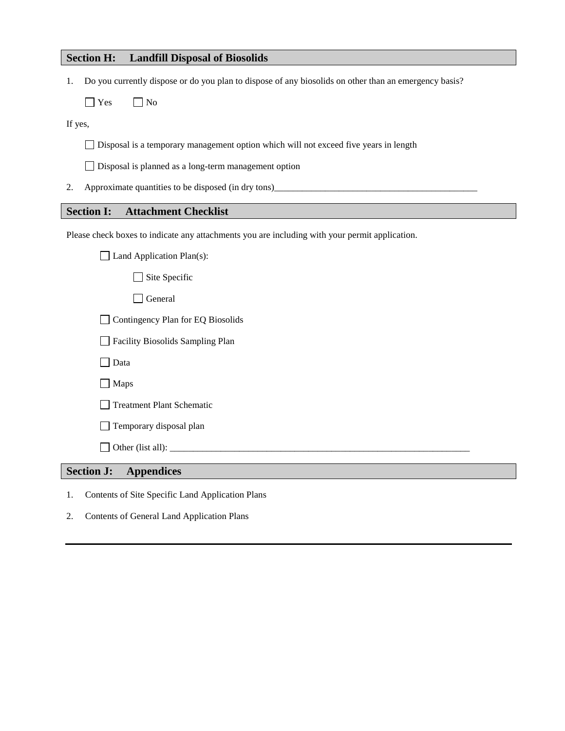### **Section H: Landfill Disposal of Biosolids**

1. Do you currently dispose or do you plan to dispose of any biosolids on other than an emergency basis?

 $\Box$  Yes  $\Box$  No

If yes,

Disposal is a temporary management option which will not exceed five years in length

Disposal is planned as a long-term management option

2. Approximate quantities to be disposed (in dry tons)

### **Section I: Attachment Checklist**

Please check boxes to indicate any attachments you are including with your permit application.

| <b>Treatment Plant Schematic</b>  |  |
|-----------------------------------|--|
|                                   |  |
|                                   |  |
|                                   |  |
| Facility Biosolids Sampling Plan  |  |
| Contingency Plan for EQ Biosolids |  |
|                                   |  |
|                                   |  |
|                                   |  |
|                                   |  |

- 1. Contents of Site Specific Land Application Plans
- 2. Contents of General Land Application Plans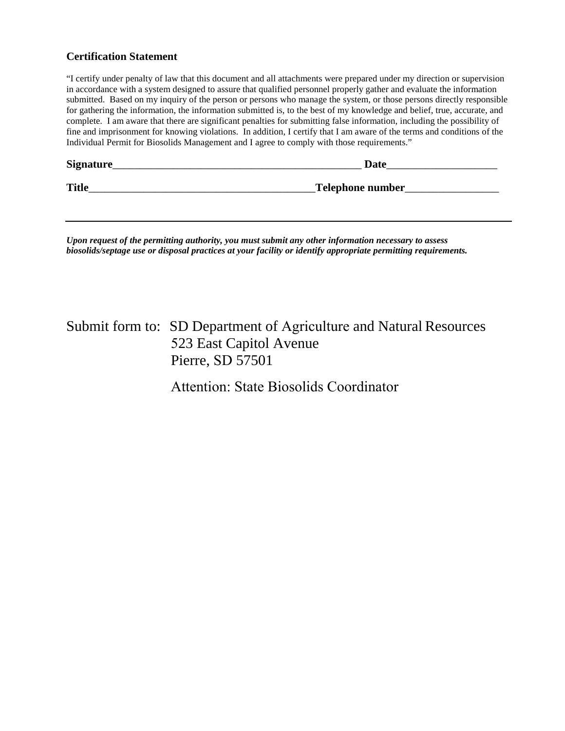#### **Certification Statement**

"I certify under penalty of law that this document and all attachments were prepared under my direction or supervision in accordance with a system designed to assure that qualified personnel properly gather and evaluate the information submitted. Based on my inquiry of the person or persons who manage the system, or those persons directly responsible for gathering the information, the information submitted is, to the best of my knowledge and belief, true, accurate, and complete. I am aware that there are significant penalties for submitting false information, including the possibility of fine and imprisonment for knowing violations. In addition, I certify that I am aware of the terms and conditions of the Individual Permit for Biosolids Management and I agree to comply with those requirements."

| Signature_   | Date             |
|--------------|------------------|
| <b>Title</b> | Telephone number |

*Upon request of the permitting authority, you must submit any other information necessary to assess biosolids/septage use or disposal practices at your facility or identify appropriate permitting requirements.*

# Submit form to: SD Department of Agriculture and Natural Resources 523 East Capitol Avenue Pierre, SD 57501

Attention: State Biosolids Coordinator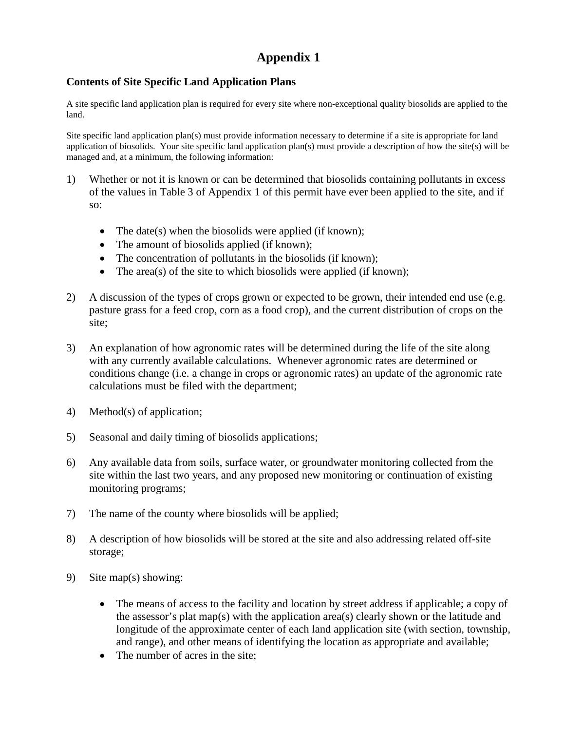# **Appendix 1**

### **Contents of Site Specific Land Application Plans**

A site specific land application plan is required for every site where non-exceptional quality biosolids are applied to the land.

Site specific land application plan(s) must provide information necessary to determine if a site is appropriate for land application of biosolids. Your site specific land application plan(s) must provide a description of how the site(s) will be managed and, at a minimum, the following information:

- 1) Whether or not it is known or can be determined that biosolids containing pollutants in excess of the values in Table 3 of Appendix 1 of this permit have ever been applied to the site, and if so:
	- The date(s) when the biosolids were applied (if known);
	- The amount of biosolids applied (if known);
	- The concentration of pollutants in the biosolids (if known);
	- The area(s) of the site to which biosolids were applied (if known);
- 2) A discussion of the types of crops grown or expected to be grown, their intended end use (e.g. pasture grass for a feed crop, corn as a food crop), and the current distribution of crops on the site;
- 3) An explanation of how agronomic rates will be determined during the life of the site along with any currently available calculations. Whenever agronomic rates are determined or conditions change (i.e. a change in crops or agronomic rates) an update of the agronomic rate calculations must be filed with the department;
- 4) Method(s) of application;
- 5) Seasonal and daily timing of biosolids applications;
- 6) Any available data from soils, surface water, or groundwater monitoring collected from the site within the last two years, and any proposed new monitoring or continuation of existing monitoring programs;
- 7) The name of the county where biosolids will be applied;
- 8) A description of how biosolids will be stored at the site and also addressing related off-site storage;
- 9) Site map(s) showing:
	- The means of access to the facility and location by street address if applicable; a copy of the assessor's plat map(s) with the application area(s) clearly shown or the latitude and longitude of the approximate center of each land application site (with section, township, and range), and other means of identifying the location as appropriate and available;
	- The number of acres in the site: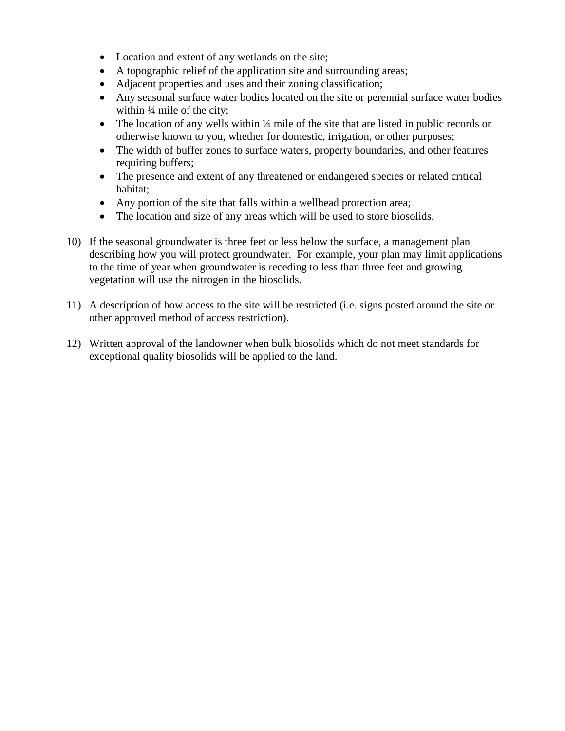- Location and extent of any wetlands on the site;
- A topographic relief of the application site and surrounding areas;
- Adjacent properties and uses and their zoning classification;
- Any seasonal surface water bodies located on the site or perennial surface water bodies within  $\frac{1}{4}$  mile of the city;
- The location of any wells within <sup>1</sup>/4 mile of the site that are listed in public records or otherwise known to you, whether for domestic, irrigation, or other purposes;
- The width of buffer zones to surface waters, property boundaries, and other features requiring buffers;
- The presence and extent of any threatened or endangered species or related critical habitat;
- Any portion of the site that falls within a wellhead protection area;
- The location and size of any areas which will be used to store biosolids.
- 10) If the seasonal groundwater is three feet or less below the surface, a management plan describing how you will protect groundwater. For example, your plan may limit applications to the time of year when groundwater is receding to less than three feet and growing vegetation will use the nitrogen in the biosolids.
- 11) A description of how access to the site will be restricted (i.e. signs posted around the site or other approved method of access restriction).
- 12) Written approval of the landowner when bulk biosolids which do not meet standards for exceptional quality biosolids will be applied to the land.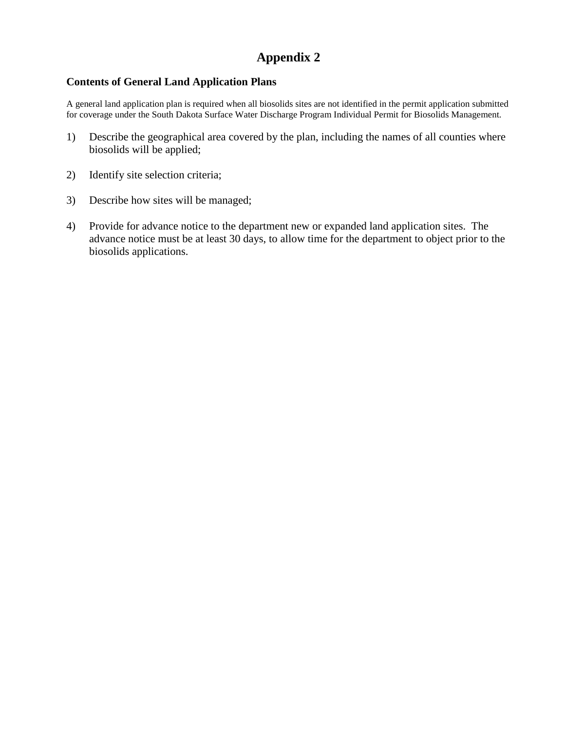## **Appendix 2**

#### **Contents of General Land Application Plans**

A general land application plan is required when all biosolids sites are not identified in the permit application submitted for coverage under the South Dakota Surface Water Discharge Program Individual Permit for Biosolids Management.

- 1) Describe the geographical area covered by the plan, including the names of all counties where biosolids will be applied;
- 2) Identify site selection criteria;
- 3) Describe how sites will be managed;
- 4) Provide for advance notice to the department new or expanded land application sites. The advance notice must be at least 30 days, to allow time for the department to object prior to the biosolids applications.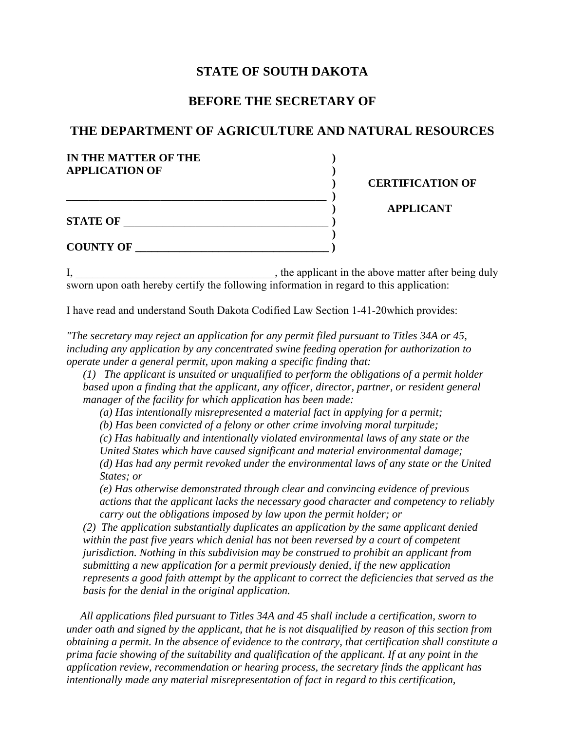### **STATE OF SOUTH DAKOTA**

### **BEFORE THE SECRETARY OF**

### **THE DEPARTMENT OF AGRICULTURE AND NATURAL RESOURCES**

| IN THE MATTER OF THE<br><b>APPLICATION OF</b> |                         |
|-----------------------------------------------|-------------------------|
|                                               | <b>CERTIFICATION OF</b> |
| <b>STATE OF</b>                               | <b>APPLICANT</b>        |
| <b>COUNTY OF</b>                              |                         |

I, \_\_\_\_\_\_\_\_\_\_\_\_\_\_\_\_\_\_\_\_\_\_\_\_\_\_\_\_\_\_\_\_\_\_\_\_, the applicant in the above matter after being duly sworn upon oath hereby certify the following information in regard to this application:

I have read and understand South Dakota Codified Law Section 1-41-20which provides:

*"The secretary may reject an application for any permit filed pursuant to Titles 34A or 45, including any application by any concentrated swine feeding operation for authorization to operate under a general permit, upon making a specific finding that:* 

*(1) The applicant is unsuited or unqualified to perform the obligations of a permit holder based upon a finding that the applicant, any officer, director, partner, or resident general manager of the facility for which application has been made:*

*(a) Has intentionally misrepresented a material fact in applying for a permit;*

*(b) Has been convicted of a felony or other crime involving moral turpitude;*

*(c) Has habitually and intentionally violated environmental laws of any state or the*

*United States which have caused significant and material environmental damage; (d) Has had any permit revoked under the environmental laws of any state or the United States; or*

*(e) Has otherwise demonstrated through clear and convincing evidence of previous actions that the applicant lacks the necessary good character and competency to reliably carry out the obligations imposed by law upon the permit holder; or*

*(2) The application substantially duplicates an application by the same applicant denied within the past five years which denial has not been reversed by a court of competent jurisdiction. Nothing in this subdivision may be construed to prohibit an applicant from submitting a new application for a permit previously denied, if the new application represents a good faith attempt by the applicant to correct the deficiencies that served as the basis for the denial in the original application.*

*All applications filed pursuant to Titles 34A and 45 shall include a certification, sworn to under oath and signed by the applicant, that he is not disqualified by reason of this section from obtaining a permit. In the absence of evidence to the contrary, that certification shall constitute a prima facie showing of the suitability and qualification of the applicant. If at any point in the application review, recommendation or hearing process, the secretary finds the applicant has intentionally made any material misrepresentation of fact in regard to this certification,*